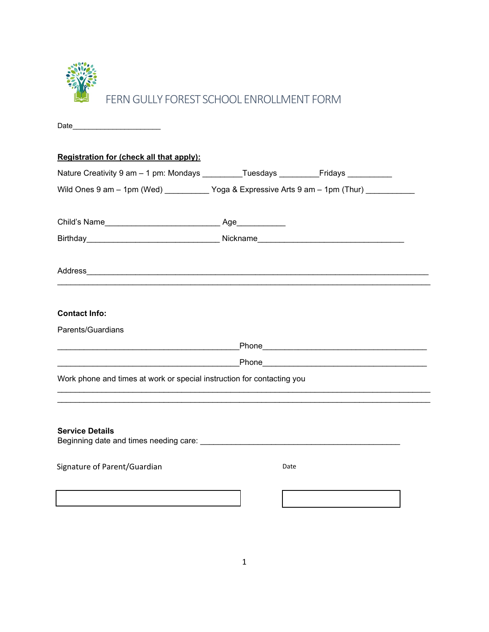

| Date_<br>the contract of the contract of the contract of                                                                                                                                                                                  |      |  |
|-------------------------------------------------------------------------------------------------------------------------------------------------------------------------------------------------------------------------------------------|------|--|
| Registration for (check all that apply):                                                                                                                                                                                                  |      |  |
| Nature Creativity 9 am - 1 pm: Mondays _________Tuesdays _______________________                                                                                                                                                          |      |  |
| Wild Ones 9 am - 1pm (Wed) ___________ Yoga & Expressive Arts 9 am - 1pm (Thur) ___________                                                                                                                                               |      |  |
|                                                                                                                                                                                                                                           |      |  |
| Birthday__________________________________Nickname______________________________                                                                                                                                                          |      |  |
|                                                                                                                                                                                                                                           |      |  |
| <b>Contact Info:</b>                                                                                                                                                                                                                      |      |  |
| Parents/Guardians                                                                                                                                                                                                                         |      |  |
|                                                                                                                                                                                                                                           |      |  |
| <u>Phone</u> <b>Contract Contract Contract Contract Contract Contract Contract Contract Contract Contract Contract Contract Contract Contract Contract Contract Contract Contract Contract Contract Contract Contract Contract Contra</b> |      |  |
| Work phone and times at work or special instruction for contacting you                                                                                                                                                                    |      |  |
|                                                                                                                                                                                                                                           |      |  |
| <b>Service Details</b>                                                                                                                                                                                                                    |      |  |
| Signature of Parent/Guardian                                                                                                                                                                                                              | Date |  |
|                                                                                                                                                                                                                                           |      |  |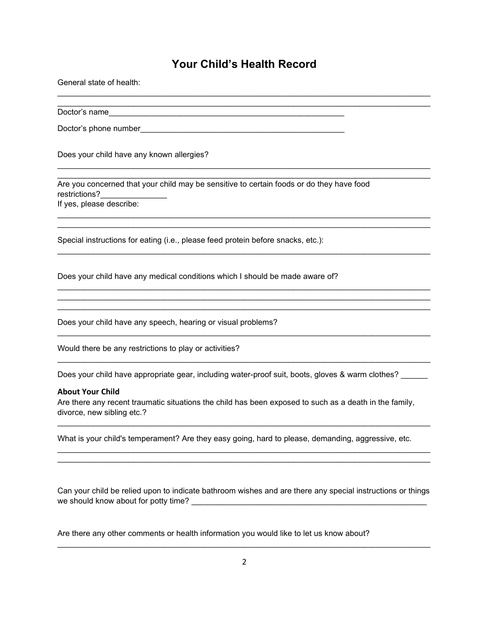## **Your Child's Health Record**

| General state of health:                                                                                                                                                                                                              |
|---------------------------------------------------------------------------------------------------------------------------------------------------------------------------------------------------------------------------------------|
|                                                                                                                                                                                                                                       |
|                                                                                                                                                                                                                                       |
| Does your child have any known allergies?                                                                                                                                                                                             |
| Are you concerned that your child may be sensitive to certain foods or do they have food<br>restrictions?<br>If yes, please describe:                                                                                                 |
| Special instructions for eating (i.e., please feed protein before snacks, etc.):                                                                                                                                                      |
| Does your child have any medical conditions which I should be made aware of?                                                                                                                                                          |
| Does your child have any speech, hearing or visual problems?                                                                                                                                                                          |
| Would there be any restrictions to play or activities?                                                                                                                                                                                |
| Does your child have appropriate gear, including water-proof suit, boots, gloves & warm clothes?<br><b>About Your Child</b><br>Are there any recent traumatic situations the child has been exposed to such as a death in the family, |
| divorce, new sibling etc.?                                                                                                                                                                                                            |
| What is your child's temperament? Are they easy going, hard to please, demanding, aggressive, etc.                                                                                                                                    |
| Can your child be relied upon to indicate bathroom wishes and are there any special instructions or things<br>we should know about for potty time?                                                                                    |

Are there any other comments or health information you would like to let us know about?

\_\_\_\_\_\_\_\_\_\_\_\_\_\_\_\_\_\_\_\_\_\_\_\_\_\_\_\_\_\_\_\_\_\_\_\_\_\_\_\_\_\_\_\_\_\_\_\_\_\_\_\_\_\_\_\_\_\_\_\_\_\_\_\_\_\_\_\_\_\_\_\_\_\_\_\_\_\_\_\_\_\_\_\_